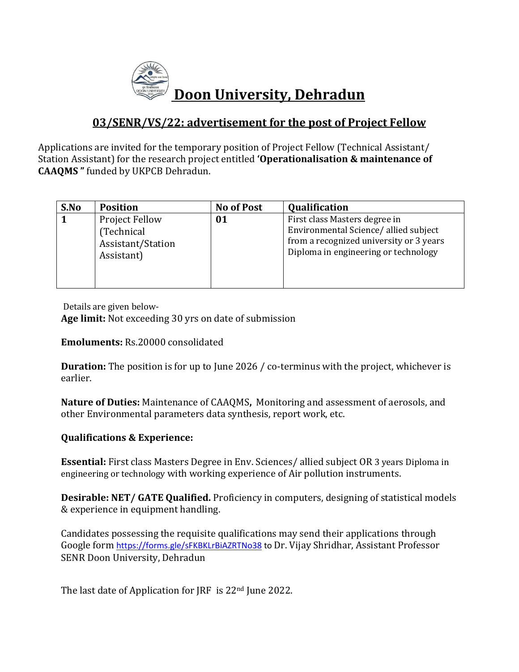

## **03/SENR/VS/22: advertisement for the post of Project Fellow**

Applications are invited for the temporary position of Project Fellow (Technical Assistant/ Station Assistant) for the research project entitled **'Operationalisation & maintenance of CAAQMS "** funded by UKPCB Dehradun.

| S.No | <b>Position</b>                                                        | <b>No of Post</b> | Qualification                                                                                                                                            |
|------|------------------------------------------------------------------------|-------------------|----------------------------------------------------------------------------------------------------------------------------------------------------------|
|      | <b>Project Fellow</b><br>(Technical<br>Assistant/Station<br>Assistant) | 01                | First class Masters degree in<br>Environmental Science/allied subject<br>from a recognized university or 3 years<br>Diploma in engineering or technology |

Details are given below-**Age limit:** Not exceeding 30 yrs on date of submission

## **Emoluments:** Rs.20000 consolidated

**Duration:** The position is for up to June 2026 / co-terminus with the project, whichever is earlier.

**Nature of Duties:** Maintenance of CAAQMS**,** Monitoring and assessment of aerosols, and other Environmental parameters data synthesis, report work, etc.

## **Qualifications & Experience:**

**Essential:** First class Masters Degree in Env. Sciences/ allied subject OR 3 years Diploma in engineering or technology with working experience of Air pollution instruments.

**Desirable: NET/ GATE Qualified.** Proficiency in computers, designing of statistical models & experience in equipment handling.

Candidates possessing the requisite qualifications may send their applications through Google form <https://forms.gle/sFKBKLrBiAZRTNo38> to Dr. Vijay Shridhar, Assistant Professor SENR Doon University, Dehradun

The last date of Application for JRF is 22nd June 2022.